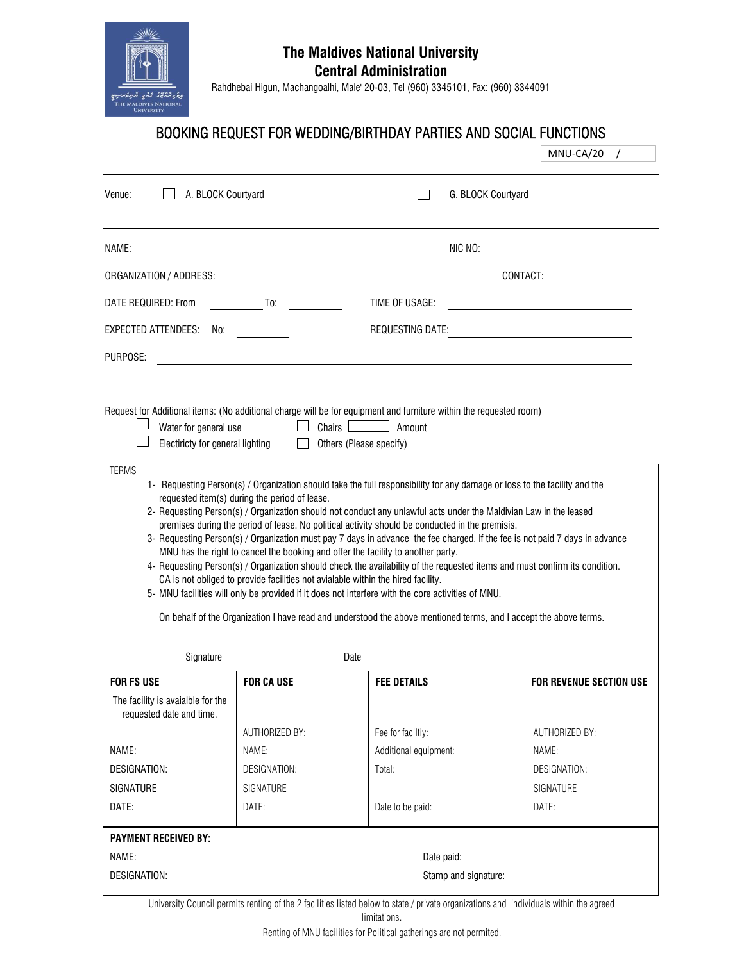

## **The Maldives National University Central Administration**

Rahdhebai Higun, Machangoalhi, Male' 20-03, Tel (960) 3345101, Fax: (960) 3344091

## BOOKING REQUEST FOR WEDDING/BIRTHDAY PARTIES AND SOCIAL FUNCTIONS

|                                                                                    |                                                                                        |                                                                                                                                                                                                                                                                                                                                                                                                                                                                                                                                                                                                                                                                                                                                                                                                                                                                                                                                                                            | MNU-CA/20                      |  |  |
|------------------------------------------------------------------------------------|----------------------------------------------------------------------------------------|----------------------------------------------------------------------------------------------------------------------------------------------------------------------------------------------------------------------------------------------------------------------------------------------------------------------------------------------------------------------------------------------------------------------------------------------------------------------------------------------------------------------------------------------------------------------------------------------------------------------------------------------------------------------------------------------------------------------------------------------------------------------------------------------------------------------------------------------------------------------------------------------------------------------------------------------------------------------------|--------------------------------|--|--|
| A. BLOCK Courtyard<br>Venue:                                                       |                                                                                        | G. BLOCK Courtyard                                                                                                                                                                                                                                                                                                                                                                                                                                                                                                                                                                                                                                                                                                                                                                                                                                                                                                                                                         |                                |  |  |
| NAME:                                                                              |                                                                                        | NIC NO:                                                                                                                                                                                                                                                                                                                                                                                                                                                                                                                                                                                                                                                                                                                                                                                                                                                                                                                                                                    |                                |  |  |
| ORGANIZATION / ADDRESS:                                                            | CONTACT:<br>the control of the control of the control of the control of the control of |                                                                                                                                                                                                                                                                                                                                                                                                                                                                                                                                                                                                                                                                                                                                                                                                                                                                                                                                                                            |                                |  |  |
| DATE REQUIRED: From                                                                | <b>To:</b> To:                                                                         | TIME OF USAGE:                                                                                                                                                                                                                                                                                                                                                                                                                                                                                                                                                                                                                                                                                                                                                                                                                                                                                                                                                             |                                |  |  |
| EXPECTED ATTENDEES:<br>No:                                                         |                                                                                        | <b>REQUESTING DATE:</b>                                                                                                                                                                                                                                                                                                                                                                                                                                                                                                                                                                                                                                                                                                                                                                                                                                                                                                                                                    |                                |  |  |
| PURPOSE:                                                                           |                                                                                        |                                                                                                                                                                                                                                                                                                                                                                                                                                                                                                                                                                                                                                                                                                                                                                                                                                                                                                                                                                            |                                |  |  |
| Water for general use<br>Electiricty for general lighting<br><b>TERMS</b>          | requested item(s) during the period of lease.                                          | Request for Additional items: (No additional charge will be for equipment and furniture within the requested room)<br>Chairs <b>Lating</b><br>Amount<br>Others (Please specify)<br>1- Requesting Person(s) / Organization should take the full responsibility for any damage or loss to the facility and the<br>2- Requesting Person(s) / Organization should not conduct any unlawful acts under the Maldivian Law in the leased<br>premises during the period of lease. No political activity should be conducted in the premisis.<br>3- Requesting Person(s) / Organization must pay 7 days in advance the fee charged. If the fee is not paid 7 days in advance<br>MNU has the right to cancel the booking and offer the facility to another party.<br>4- Requesting Person(s) / Organization should check the availability of the requested items and must confirm its condition.<br>CA is not obliged to provide facilities not avialable within the hired facility. |                                |  |  |
|                                                                                    |                                                                                        | 5- MNU facilities will only be provided if it does not interfere with the core activities of MNU.<br>On behalf of the Organization I have read and understood the above mentioned terms, and I accept the above terms.                                                                                                                                                                                                                                                                                                                                                                                                                                                                                                                                                                                                                                                                                                                                                     |                                |  |  |
| Signature                                                                          |                                                                                        | Date                                                                                                                                                                                                                                                                                                                                                                                                                                                                                                                                                                                                                                                                                                                                                                                                                                                                                                                                                                       |                                |  |  |
| <b>FOR FS USE</b><br>The facility is avaialble for the<br>requested date and time. | <b>FOR CA USE</b>                                                                      | <b>FEE DETAILS</b>                                                                                                                                                                                                                                                                                                                                                                                                                                                                                                                                                                                                                                                                                                                                                                                                                                                                                                                                                         | <b>FOR REVENUE SECTION USE</b> |  |  |
|                                                                                    | AUTHORIZED BY:                                                                         | Fee for faciltiy:                                                                                                                                                                                                                                                                                                                                                                                                                                                                                                                                                                                                                                                                                                                                                                                                                                                                                                                                                          | AUTHORIZED BY:                 |  |  |
| NAME:                                                                              | NAME:                                                                                  | Additional equipment:                                                                                                                                                                                                                                                                                                                                                                                                                                                                                                                                                                                                                                                                                                                                                                                                                                                                                                                                                      | NAME:                          |  |  |
| <b>DESIGNATION:</b>                                                                | DESIGNATION:                                                                           | Total:                                                                                                                                                                                                                                                                                                                                                                                                                                                                                                                                                                                                                                                                                                                                                                                                                                                                                                                                                                     | <b>DESIGNATION:</b>            |  |  |
| <b>SIGNATURE</b>                                                                   | <b>SIGNATURE</b>                                                                       |                                                                                                                                                                                                                                                                                                                                                                                                                                                                                                                                                                                                                                                                                                                                                                                                                                                                                                                                                                            | <b>SIGNATURE</b>               |  |  |
| DATE:                                                                              | DATE:                                                                                  | Date to be paid:                                                                                                                                                                                                                                                                                                                                                                                                                                                                                                                                                                                                                                                                                                                                                                                                                                                                                                                                                           | DATE:                          |  |  |
| <b>PAYMENT RECEIVED BY:</b>                                                        |                                                                                        |                                                                                                                                                                                                                                                                                                                                                                                                                                                                                                                                                                                                                                                                                                                                                                                                                                                                                                                                                                            |                                |  |  |
| NAME:                                                                              | the control of the control of the control of the control of the control of             | Date paid:                                                                                                                                                                                                                                                                                                                                                                                                                                                                                                                                                                                                                                                                                                                                                                                                                                                                                                                                                                 |                                |  |  |

University Council permits renting of the 2 facilities listed below to state / private organizations and individuals within the agreed

limitations.